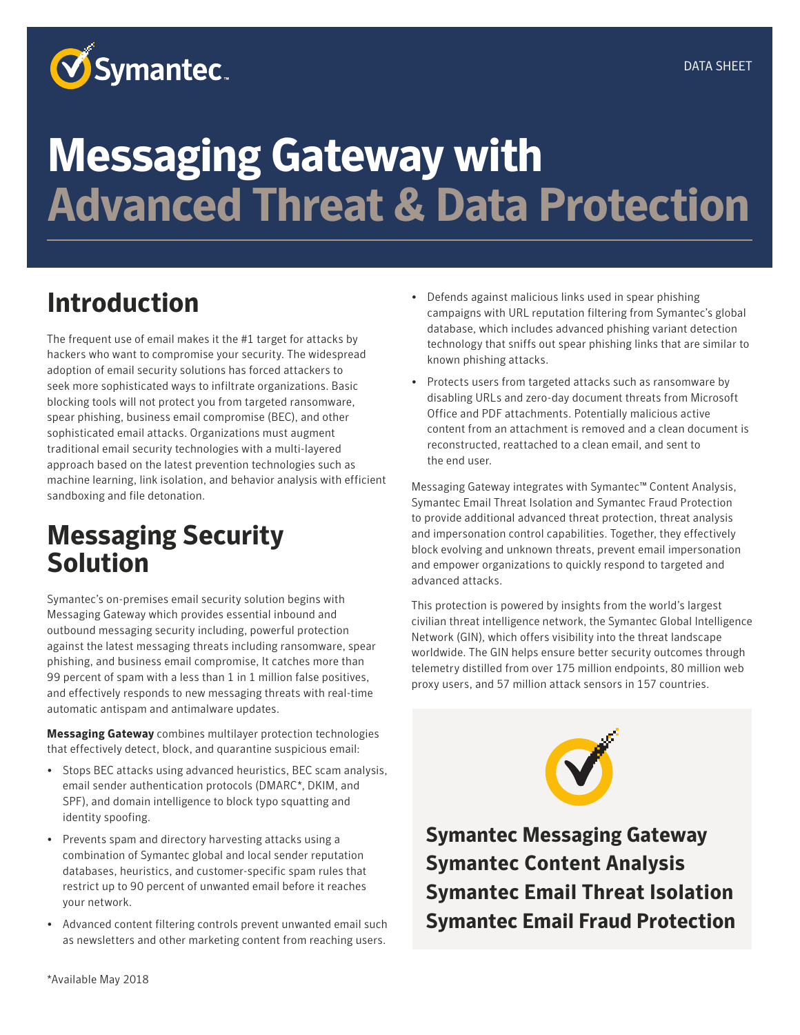

# **Messaging Gateway with Advanced Threat & Data Protection**

## **Introduction**

The frequent use of email makes it the #1 target for attacks by hackers who want to compromise your security. The widespread adoption of email security solutions has forced attackers to seek more sophisticated ways to infiltrate organizations. Basic blocking tools will not protect you from targeted ransomware, spear phishing, business email compromise (BEC), and other sophisticated email attacks. Organizations must augment traditional email security technologies with a multi-layered approach based on the latest prevention technologies such as machine learning, link isolation, and behavior analysis with efficient sandboxing and file detonation.

## **Messaging Security Solution**

Symantec's on-premises email security solution begins with Messaging Gateway which provides essential inbound and outbound messaging security including, powerful protection against the latest messaging threats including ransomware, spear phishing, and business email compromise, It catches more than 99 percent of spam with a less than 1 in 1 million false positives, and effectively responds to new messaging threats with real-time automatic antispam and antimalware updates.

**Messaging Gateway** combines multilayer protection technologies that effectively detect, block, and quarantine suspicious email:

- Stops BEC attacks using advanced heuristics, BEC scam analysis, email sender authentication protocols (DMARC\*, DKIM, and SPF), and domain intelligence to block typo squatting and identity spoofing.
- Prevents spam and directory harvesting attacks using a combination of Symantec global and local sender reputation databases, heuristics, and customer-specific spam rules that restrict up to 90 percent of unwanted email before it reaches your network.
- Advanced content filtering controls prevent unwanted email such as newsletters and other marketing content from reaching users.
- Defends against malicious links used in spear phishing campaigns with URL reputation filtering from Symantec's global database, which includes advanced phishing variant detection technology that sniffs out spear phishing links that are similar to known phishing attacks.
- Protects users from targeted attacks such as ransomware by disabling URLs and zero-day document threats from Microsoft Office and PDF attachments. Potentially malicious active content from an attachment is removed and a clean document is reconstructed, reattached to a clean email, and sent to the end user.

Messaging Gateway integrates with Symantec™ Content Analysis, Symantec Email Threat Isolation and Symantec Fraud Protection to provide additional advanced threat protection, threat analysis and impersonation control capabilities. Together, they effectively block evolving and unknown threats, prevent email impersonation and empower organizations to quickly respond to targeted and advanced attacks.

This protection is powered by insights from the world's largest civilian threat intelligence network, the Symantec Global Intelligence Network (GIN), which offers visibility into the threat landscape worldwide. The GIN helps ensure better security outcomes through telemetry distilled from over 175 million endpoints, 80 million web proxy users, and 57 million attack sensors in 157 countries.



**Symantec Messaging Gateway Symantec Content Analysis Symantec Email Threat Isolation Symantec Email Fraud Protection**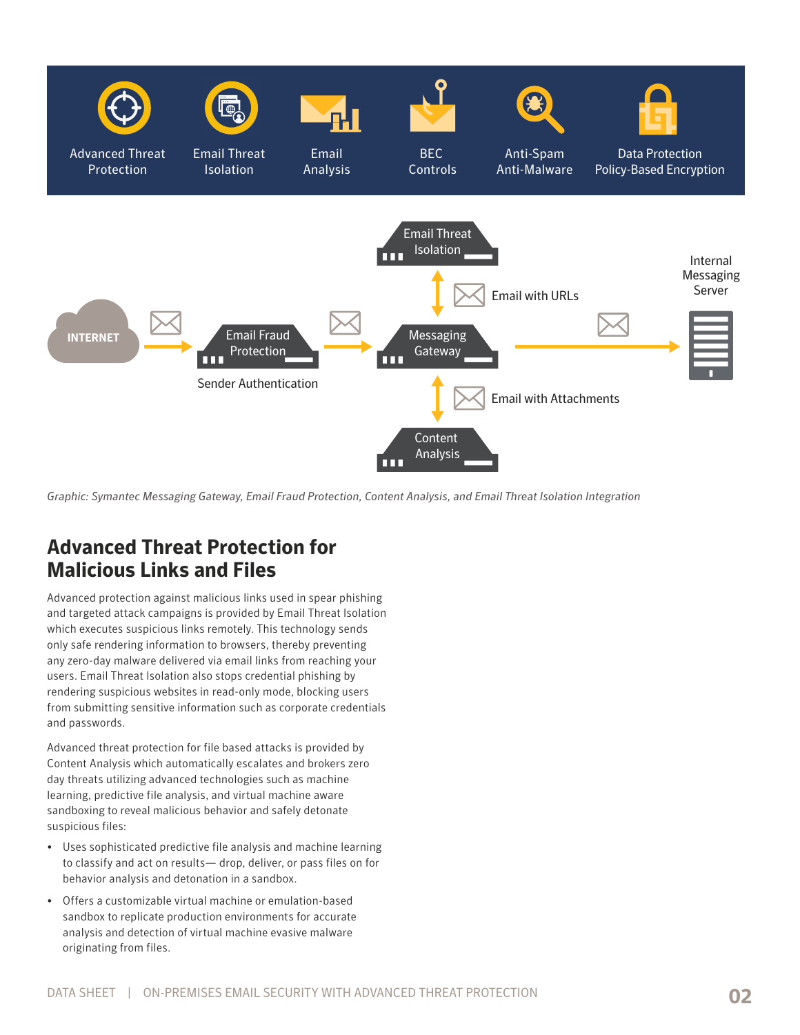

*Graphic: Symantec Messaging Gateway, Email Fraud Protection, Content Analysis, and Email Threat Isolation Integration*

#### **Advanced Threat Protection for Malicious Links and Files**

Advanced protection against malicious links used in spear phishing and targeted attack campaigns is provided by Email Threat Isolation which executes suspicious links remotely. This technology sends only safe rendering information to browsers, thereby preventing any zero-day malware delivered via email links from reaching your users. Email Threat Isolation also stops credential phishing by rendering suspicious websites in read-only mode, blocking users from submitting sensitive information such as corporate credentials and passwords.

Advanced threat protection for file based attacks is provided by Content Analysis which automatically escalates and brokers zero day threats utilizing advanced technologies such as machine learning, predictive file analysis, and virtual machine aware sandboxing to reveal malicious behavior and safely detonate suspicious files:

- Uses sophisticated predictive file analysis and machine learning to classify and act on results— drop, deliver, or pass files on for behavior analysis and detonation in a sandbox.
- Offers a customizable virtual machine or emulation-based sandbox to replicate production environments for accurate analysis and detection of virtual machine evasive malware originating from files.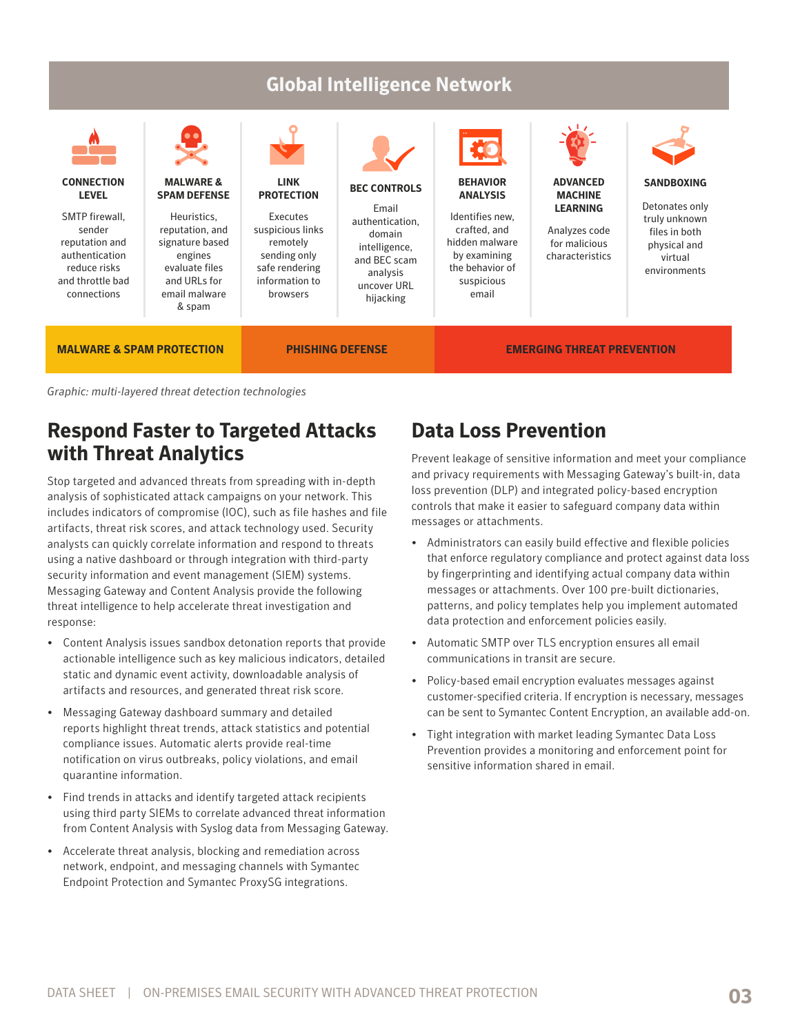

*Graphic: multi-layered threat detection technologies*

#### **Respond Faster to Targeted Attacks with Threat Analytics**

Stop targeted and advanced threats from spreading with in-depth analysis of sophisticated attack campaigns on your network. This includes indicators of compromise (IOC), such as file hashes and file artifacts, threat risk scores, and attack technology used. Security analysts can quickly correlate information and respond to threats using a native dashboard or through integration with third-party security information and event management (SIEM) systems. Messaging Gateway and Content Analysis provide the following threat intelligence to help accelerate threat investigation and response:

- Content Analysis issues sandbox detonation reports that provide actionable intelligence such as key malicious indicators, detailed static and dynamic event activity, downloadable analysis of artifacts and resources, and generated threat risk score.
- Messaging Gateway dashboard summary and detailed reports highlight threat trends, attack statistics and potential compliance issues. Automatic alerts provide real-time notification on virus outbreaks, policy violations, and email quarantine information.
- Find trends in attacks and identify targeted attack recipients using third party SIEMs to correlate advanced threat information from Content Analysis with Syslog data from Messaging Gateway.
- Accelerate threat analysis, blocking and remediation across network, endpoint, and messaging channels with Symantec Endpoint Protection and Symantec ProxySG integrations.

### **Data Loss Prevention**

Prevent leakage of sensitive information and meet your compliance and privacy requirements with Messaging Gateway's built-in, data loss prevention (DLP) and integrated policy-based encryption controls that make it easier to safeguard company data within messages or attachments.

- Administrators can easily build effective and flexible policies that enforce regulatory compliance and protect against data loss by fingerprinting and identifying actual company data within messages or attachments. Over 100 pre-built dictionaries, patterns, and policy templates help you implement automated data protection and enforcement policies easily.
- Automatic SMTP over TLS encryption ensures all email communications in transit are secure.
- Policy-based email encryption evaluates messages against customer-specified criteria. If encryption is necessary, messages can be sent to Symantec Content Encryption, an available add-on.
- Tight integration with market leading Symantec Data Loss Prevention provides a monitoring and enforcement point for sensitive information shared in email.